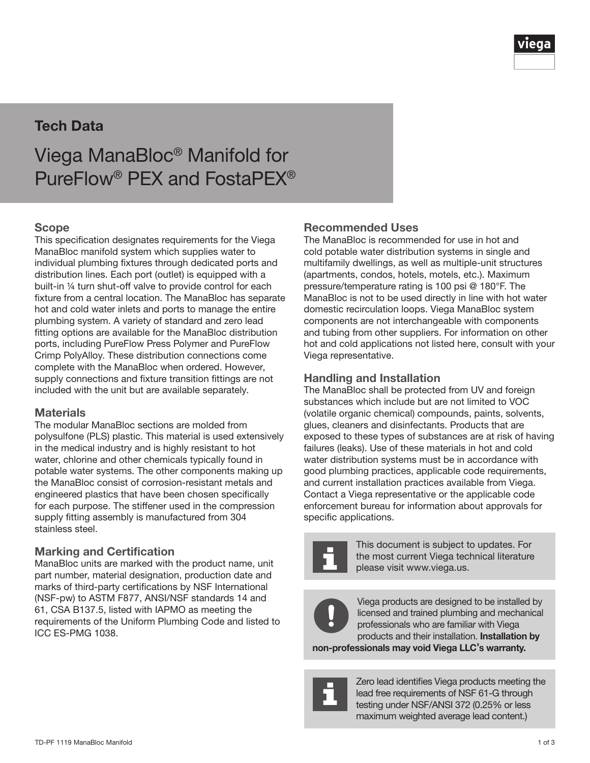

# Tech Data

Viega ManaBloc® Manifold for PureFlow® PEX and FostaPEX®

#### Scope

This specification designates requirements for the Viega ManaBloc manifold system which supplies water to individual plumbing fixtures through dedicated ports and distribution lines. Each port (outlet) is equipped with a built-in ¼ turn shut-off valve to provide control for each fixture from a central location. The ManaBloc has separate hot and cold water inlets and ports to manage the entire plumbing system. A variety of standard and zero lead fitting options are available for the ManaBloc distribution ports, including PureFlow Press Polymer and PureFlow Crimp PolyAlloy. These distribution connections come complete with the ManaBloc when ordered. However, supply connections and fixture transition fittings are not included with the unit but are available separately.

#### **Materials**

The modular ManaBloc sections are molded from polysulfone (PLS) plastic. This material is used extensively in the medical industry and is highly resistant to hot water, chlorine and other chemicals typically found in potable water systems. The other components making up the ManaBloc consist of corrosion-resistant metals and engineered plastics that have been chosen specifically for each purpose. The stiffener used in the compression supply fitting assembly is manufactured from 304 stainless steel.

#### Marking and Certification

ManaBloc units are marked with the product name, unit part number, material designation, production date and marks of third-party certifications by NSF International (NSF-pw) to ASTM F877, ANSI/NSF standards 14 and 61, CSA B137.5, listed with IAPMO as meeting the requirements of the Uniform Plumbing Code and listed to ICC ES-PMG 1038.

#### Recommended Uses

The ManaBloc is recommended for use in hot and cold potable water distribution systems in single and multifamily dwellings, as well as multiple-unit structures (apartments, condos, hotels, motels, etc.). Maximum pressure/temperature rating is 100 psi @ 180°F. The ManaBloc is not to be used directly in line with hot water domestic recirculation loops. Viega ManaBloc system components are not interchangeable with components and tubing from other suppliers. For information on other hot and cold applications not listed here, consult with your Viega representative.

#### Handling and Installation

The ManaBloc shall be protected from UV and foreign substances which include but are not limited to VOC (volatile organic chemical) compounds, paints, solvents, glues, cleaners and disinfectants. Products that are exposed to these types of substances are at risk of having failures (leaks). Use of these materials in hot and cold water distribution systems must be in accordance with good plumbing practices, applicable code requirements, and current installation practices available from Viega. Contact a Viega representative or the applicable code enforcement bureau for information about approvals for specific applications.



This document is subject to updates. For the most current Viega technical literature please visit www.viega.us.



Viega products are designed to be installed by licensed and trained plumbing and mechanical professionals who are familiar with Viega products and their installation. Installation by

non-professionals may void Viega LLC's warranty.



Zero lead identifies Viega products meeting the lead free requirements of NSF 61-G through testing under NSF/ANSI 372 (0.25% or less maximum weighted average lead content.)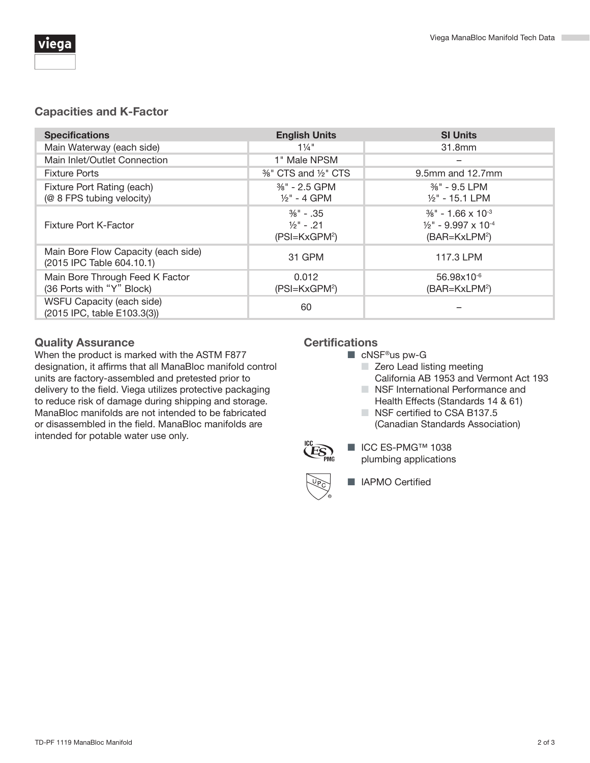# Capacities and K-Factor

| <b>Specifications</b>                                            | <b>English Units</b>                                                        | <b>SI Units</b>                                                                                                      |
|------------------------------------------------------------------|-----------------------------------------------------------------------------|----------------------------------------------------------------------------------------------------------------------|
| Main Waterway (each side)                                        | $1\frac{1}{4}$ "                                                            | 31.8mm                                                                                                               |
| Main Inlet/Outlet Connection                                     | 1" Male NPSM                                                                |                                                                                                                      |
| <b>Fixture Ports</b>                                             | %" CTS and 1/2" CTS                                                         | 9.5mm and 12.7mm                                                                                                     |
| Fixture Port Rating (each)<br>(@ 8 FPS tubing velocity)          | $\frac{3}{8}$ " - 2.5 GPM<br>$\frac{1}{2}$ " - 4 GPM                        | $\frac{3}{8}$ " - 9.5 LPM<br>$1/2$ " - 15.1 LPM                                                                      |
| <b>Fixture Port K-Factor</b>                                     | $\frac{3}{8}$ " - .35<br>$\frac{1}{2}$ " - .21<br>(PSI=KxGPM <sup>2</sup> ) | $\frac{3}{8}$ " - 1.66 x 10 <sup>-3</sup><br>$\frac{1}{2}$ " - 9.997 x 10 <sup>-4</sup><br>(BAR=KxLPM <sup>2</sup> ) |
| Main Bore Flow Capacity (each side)<br>(2015 IPC Table 604.10.1) | 31 GPM                                                                      | 117.3 LPM                                                                                                            |
| Main Bore Through Feed K Factor<br>(36 Ports with "Y" Block)     | 0.012<br>(PSI=KxGPM <sup>2</sup> )                                          | 56.98x10-6<br>(BAR=KxLPM <sup>2</sup> )                                                                              |
| WSFU Capacity (each side)<br>(2015 IPC, table E103.3(3))         | 60                                                                          |                                                                                                                      |

## Quality Assurance

When the product is marked with the ASTM F877 designation, it affirms that all ManaBloc manifold control units are factory-assembled and pretested prior to delivery to the field. Viega utilizes protective packaging to reduce risk of damage during shipping and storage. ManaBloc manifolds are not intended to be fabricated or disassembled in the field. ManaBloc manifolds are intended for potable water use only.

## **Certifications**

- cNSF<sup>®</sup>us pw-G
	- Zero Lead listing meeting California AB 1953 and Vermont Act 193
	- NSF International Performance and
	- Health Effects (Standards 14 & 61)
	- NSF certified to CSA B137.5 (Canadian Standards Association)



■ ICC ES-PMG™ 1038 plumbing applications



■ IAPMO Certified